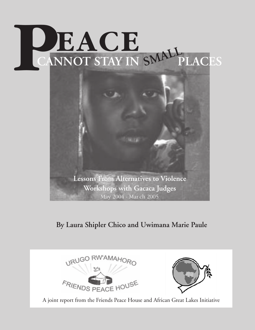# **PEACE** CANNOT STAY IN SMALL PLACES



### **By Laura Shipler Chico and Uwimana Marie Paule**



A joint report from the Friends Peace House and African Great Lakes Initiative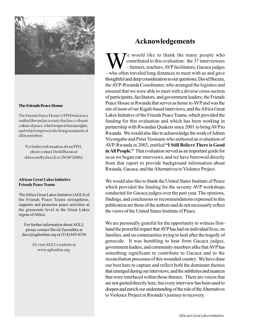

#### **The Friends Peace House**

The Friends Peace House's (FPH)vision is a unified Rwandan society that has a vibrant culture of peace, which respects human rights, and which improves the living standards of all its members.

For further information about FPH, please contact David Bucura at dabucura@yahoo.fr or 250 08 520862

#### **African Great Lakes Initiative Friends Peace Teams**

The Africa Great Lakes Initiative (AGLI) of the Friends Peace Teams strengthens, supports and promotes peace activities at the grassroots level in the Great Lakes region of Africa.

For further information about AGLI, please contact David Zarembka at dave@aglionline.org or  $(314)$  645-0336

> Or visit AGLI's website at www.aglionline.org.

#### **Acknowledgements**

e would like to thank the many people who contributed to this evaluation: the 37 interviewees – farmers, teachers, AVP facilitators, Gacaca judges – who often traveled long distances to meet with us and gave thoughtful and deep consideration to our questions; David Bucura, the AVP-Rwanda Coordinator, who arranged the logistics and ensured that we were able to meet with a diverse cross-section of participants, facilitators, and government leaders; the Friends Peace House in Rwanda that serves as home to AVP and was the site of most of our Kigali-based interviews; and the Africa Great Lakes Initiative of the Friends Peace Teams, which provided the funding for this evaluation and which has been working in partnership with Rwandan Quakers since 2001 to bring AVP to Rwanda. We would also like to acknowledge the work of Adrien Niyongabo and Peter Yeomans who authored an evaluation of AVP-Rwanda in 2003, entitled **"I Still Believe There is Good in All People."** That evaluation served as an important guide for us as we began our interviews, and we have borrowed directly from that report to provide background information about Rwanda, Gacaca, and the Alternatives to Violence Project.

We would also like to thank the United States Institute of Peace which provided the funding for the seventy AVP workshops conducted for Gacaca judges over the past year. The opinions, findings, and conclusions or recommendations expressed in this publication are those of the authors and do not necessairly reflect the views of the United States Institute of Peace.

We are personally grateful for the opportunity to witness firsthand the powerful impact that AVP has had on individual lives, on families, and on communities trying to heal after the tragedy of genocide. It was humbling to hear from Gacaca judges, government leaders, and community members alike that AVP has something significant to contribute to Gacaca and to the reconciliation processes of this wounded country. We have done our best here to capture and reflect both the dominant themes that emerged during our interviews, and the subtleties and nuances that were interlaced within those themes. There are voices that are not quoted directly here, but every interview has been used to deepen and enrich our understanding of the role of the Alternatives to Violence Project in Rwanda's journey to recovery.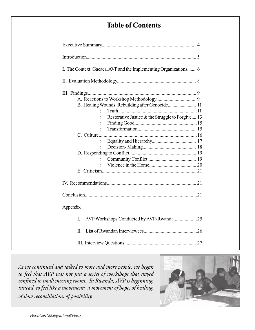#### **Table of Contents**

| I. The Context: Gacaca, AVP and the Implementing Organizations 6                                                                                                                                            |
|-------------------------------------------------------------------------------------------------------------------------------------------------------------------------------------------------------------|
|                                                                                                                                                                                                             |
| B. Healing Wounds: Rebuilding after Genocide 11<br>$\langle$<br>Restorative Justice & the Struggle to Forgive 13<br>$\langle$<br>$\langle$<br>$\langle$<br>$\langle$<br>$\langle$<br>$\langle$<br>$\langle$ |
| Appendix                                                                                                                                                                                                    |
| I.                                                                                                                                                                                                          |
| П.                                                                                                                                                                                                          |
|                                                                                                                                                                                                             |

*As we continued and talked to more and more people, we began to feel that AVP was not just a series of workshops that stayed confined to small meeting rooms. In Rwanda, AVP is beginning, instead, to feel like a movement: a movement of hope, of healing, of slow reconciliation, of possibility.*

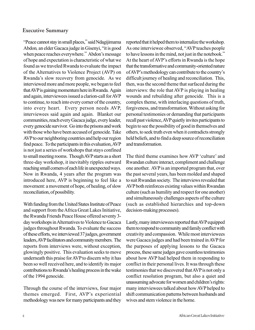#### **Executive Summary**

"Peace cannot stay in small places," said Ndagijimama Abdon*,* an elder Gacaca judge in Gisenyi, "it is good when peace reaches everywhere." Abdon's message of hope and expectation is characteristic of what we found as we traveled Rwanda to evaluate the impact of the Alternatives to Violence Project (AVP) on Rwanda's slow recovery from genocide. As we interviewed more and more people, we began to feel that AVP is gaining momentum here in Rwanda. Again and again, interviewees issued a clarion-call for AVP to continue, to reach into every corner of the country, into every heart. Every person needs AVP, interviewees said again and again. Blanket our communities, reach every Gacaca judge, every leader, every genocide survivor. Go into the prisons and work with those who have been accused of genocide. Take AVP to our neighboring countries and help our region find peace. To the participants in this evaluation, AVP is not just a series of workshops that stays confined to small meeting rooms. Though AVP starts as a short three-day workshop, it inevitably ripples outward reaching small corners of each life in unexpected ways. Now in Rwanda, 4 years after the program was introduced here, AVP is beginning to feel like a movement: a movement of hope, of healing, of slow reconciliation, of possibility.

With funding from the United States Institute of Peace and support from the Africa Great Lakes Initiative, the Rwanda Friends Peace House offered seventy 3 day workshops in Alternatives to Violence to Gacaca judges throughout Rwanda. To evaluate the success of these efforts, we interviewed 37 judges, government leaders, AVP facilitators and community members. The reports from interviews were, without exception, glowingly positive. This evaluation seeks to move underneath this praise for AVP to discern why it has been so well received here, and to identify its major contributions to Rwanda's healing process in the wake of the 1994 genocide.

Through the course of the interviews, four major themes emerged. First, AVP's experiential methodology was new for many participants and they

reported that it helped them to internalize the workshop. As one interviewee observed, "AVP teaches people to have lessons in the mind, not just in the notebook." At the heart of AVP's efforts in Rwanda is the hope that the transformative and community-oriented nature of AVP's methodology can contribute to the country's difficult journey of healing and reconciliation. This, then, was the second theme that surfaced during the interviews: the role that AVP is playing in healing wounds and rebuilding after genocide. This is a complex theme, with interlacing questions of truth, forgiveness, and transformation. Without asking for personal testimonies or demanding that participants recall past violence, AVP quietly invites participants to begin to see the possibility of good in themselves and others, to seek truth even when it contradicts strongly held beliefs, and to find a deep source of reconciliation and transformation.

The third theme examines how AVP 'culture' and Rwandan culture interact, compliment and challenge one another. AVP is an imported program that, over the past several years, has been molded and shaped to suit Rwandan society. The interviews revealed that AVP both reinforces existing values within Rwandan culture (such as humility and respect for one another) and simultaneously challenges aspects of the culture (such as established hierarchies and top-down decision-making processes).

Lastly, many interviewees reported that AVP equipped them to respond to community and family conflict with creativity and compassion. While most interviewees were Gacaca judges and had been trained in AVP for the purposes of applying lessons to the Gacaca process, these same judges gave countless testimonies about how AVP had helped them in responding to conflict in their personal lives. It was through these testimonies that we discovered that AVP is not only a conflict resolution program, but also a quiet and unassuming advocate for women and children's rights: many interviewees talked about how AVP helped to shift communication patterns between husbands and wives and stem violence in the home.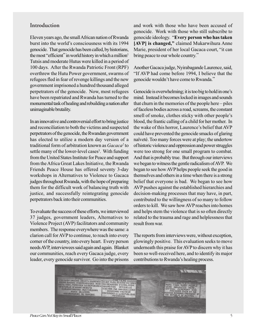#### **Introduction**

Eleven years ago, the small African nation of Rwanda burst into the world's consciousness with its 1994 genocide. That genocide has been called, by historians, the most "efficient" in world history in which a million<sup>1</sup> Tutsis and moderate Hutus were killed in a period of 100 days. After the Rwanda Patriotic Front (RPF) overthrew the Hutu Power government, swarms of refugees fled in fear of revenge killings and the new government imprisoned a hundred thousand alleged perpetrators of the genocide. Now, most refugees have been repatriated and Rwanda has turned to the monumental task of healing and rebuilding a nation after unimaginable brutality.

In an innovative and controversial effort to bring justice and reconciliation to both the victims and suspected perpetrators of the genocide, the Rwandan government has elected to utilize a modern day version of a traditional form of arbitration known as *Gacaca2* to settle many of the lower-level cases<sup>3</sup>. With funding from the United States Institute for Peace and support from the Africa Great Lakes Initiative, the Rwanda Friends Peace House has offered seventy 3-day workshops in Alternatives to Violence to Gacaca judges throughout Rwanda, with the hope of preparing them for the difficult work of balancing truth with justice, and successfully reintegrating genocide perpetrators back into their communities.

To evaluate the success of these efforts, we interviewed 37 judges, government leaders, Alternatives to Violence Project (AVP) facilitators and community members. The response everywhere was the same: a clarion call for AVP to continue, to reach into every corner of the country, into every heart. Every person needs AVP, interviewees said again and again. Blanket our communities, reach every Gacaca judge, every leader, every genocide survivor. Go into the prisons and work with those who have been accused of genocide. Work with those who still subscribe to genocide ideology. "**Every person who has taken [AVP] is changed,"** claimed Mukarwihura Anne Marie, president of her local Gacaca court, "it can bring peace to our whole country."

Another Gacaca judge, Nyirabagande Laurence, said, "If AVP had come before 1994, I believe that the genocide wouldn't have come to Rwanda."

Genocide is overwhelming; it is too big to hold in one's mind. Instead it becomes locked in images and sounds that churn in the memories of the people here – piles of faceless bodies across a road, screams, the constant smell of smoke, clothes sticky with other people's blood, the frantic calling of a child for her mother. In the wake of this horror, Laurence's belief that AVP could have prevented the genocide smacks of glaring naïveté. Too many forces were at play; the undertow of historic violence and oppression and power struggles were too strong for one small program to combat. And that is probably true. But through our interviews we began to witness the gentle radicalism of AVP. We began to see how AVP helps people seek the good in themselves and others in a time when there is a strong belief that everyone is bad. We began to see how AVP pushes against the established hierarchies and decision-making processes that may have, in part, contributed to the willingness of so many to follow orders to kill. We saw how AVP reaches into homes and helps stem the violence that is so often directly related to the trauma and rage and helplessness that result from war.

The reports from interviews were, without exception, glowingly positive. This evaluation seeks to move underneath this praise for AVP to discern why it has been so well-received here, and to identify its major contributions to Rwanda's healing process.



*Peace Can Not Stay in Small Places*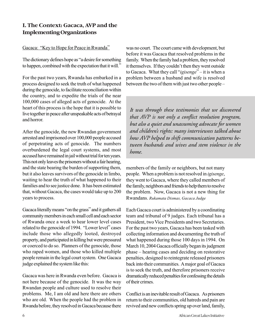#### **I. The Context: Gacaca, AVP and the Implementing Organizations**

#### Gacaca: "Key to Hope for Peace in Rwanda"

The dictionary defines hope as "a desire for something to happen, combined with the expectation that it will."

For the past two years, Rwanda has embarked in a process designed to seek the truth of what happened during the genocide, to facilitate reconciliation within the country, and to expedite the trials of the near 100,000 cases of alleged acts of genocide. At the heart of this process is the hope that it is possible to live together in peace after unspeakable acts of betrayal and horror.

After the genocide, the new Rwandan government arrested and imprisoned over 100,000 people accused of perpetrating acts of genocide. The numbers overburdened the legal court systems, and most accused have remained in jail without trial for ten years. This not only leaves the prisoners without a fair hearing, and the state bearing the burden of supporting them, but it also leaves survivors of the genocide in limbo, waiting to hear the truth of what happened to their families and to see justice done. It has been estimated that, without Gacaca, the cases would take up to 200 years to process.

Gacaca literally means "on the grass" and it gathers all community members in each small cell and each sector of Rwanda once a week to hear lower level cases related to the genocide of 1994. "Lower level" cases include those who allegedly looted, destroyed property, and participated in killing but were pressured or coerced to do so. Planners of the genocide, those who raped women, and those who killed multiple people remain in the legal court system. One Gacaca judge explained the system like this:

Gacaca was here in Rwanda even before. Gacaca is not here because of the genocide. It was the way Rwandan people and culture used to resolve their problems. Me, I am old and here there are others who are old. When the people had the problem in Rwanda before, they resolved in Gacaca because there

was no court. The court came with development, but before it was Gacaca that resolved problems in the family. When the family had a problem, they resolved it themselves. If they couldn't then they went outside to Gacaca. What they call "*igisenge*" – it is when a problem between a husband and wife is resolved between the two of them with just two other people –

*It was through these testimonies that we discovered that AVP is not only a conflict resolution program, but also a quiet and unassuming advocate for women and children's rights: many interviewees talked about how AVP helped to shift communication patterns between husbands and wives and stem violence in the home.*

members of the family or neighbors, but not many people. When a problem is not resolved in *igisenge*, they went to Gacaca, where they called members of the family, neighbors and friends to help them to resolve the problem. Now, Gacaca is not a new thing for Rwandans. *Rukamata Dismas, Gacaca Judge*

Each Gacaca court is administered by a coordinating team and tribunal of 9 judges. Each tribunal has a President, two Vice Presidents and two Secretaries. For the past two years, Gacaca has been tasked with collecting information and documenting the truth of what happened during those 100 days in 1994. On March 10, 2004 Gacaca officially began its judgment phase – hearing cases and deciding on restorative penalties, designed to reintegrate released prisoners back into their communities. A major goal of Gacaca is to seek the truth, and therefore prisoners receive dramatically reduced penalties for confessing the details of their crimes.

Conflict is an inevitable result of Gacaca. As prisoners return to their communities, old hatreds and pain are revived and new conflicts spring up over land, family,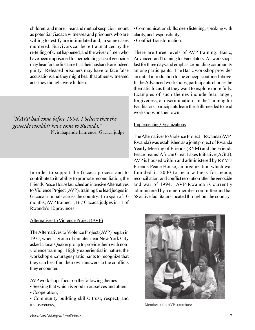children, and more. Fear and mutual suspicion mount as potential Gacaca witnesses and prisoners who are willing to testify are intimidated and, in some cases murdered. Survivors can be re-traumatized by the re-telling of what happened, and the wives of men who have been imprisoned for perpetrating acts of genocide may hear for the first time that their husbands are indeed guilty. Released prisoners may have to face false accusations and they might hear that others witnessed acts they thought were hidden.

#### *"If AVP had come before 1994, I believe that the genocide wouldn't have come to Rwanda."* Nyirabagande Laurence, Gacaca judge

In order to support the Gacaca process and to contribute to its ability to promote reconciliation, the Friends Peace House launched an intensive Alternatives to Violence Project (AVP), training the lead judges in Gacaca tribunals across the country. In a span of 10 months, AVP trained 1,167 Gacaca judges in 11 of Rwanda's 12 provinces.

#### Alternatives to Violence Project (AVP)

The Alternatives to Violence Project (AVP) began in 1975, when a group of inmates near New York City asked a local Quaker group to provide them with nonviolence training. Highly experiential in nature, the workshop encourages participants to recognize that they can best find their own answers to the conflicts they encounter.

AVP workshops focus on the following themes:

- Seeking that which is good in ourselves and others;
- Cooperation;

• Community building skills: trust, respect, and inclusiveness;

• Communication skills: deep listening, speaking with clarity, and responsibility;

• Conflict Transformation.

There are three levels of AVP training: Basic, Advanced, and Training for Facilitators. All workshops last for three days and emphasize building community among participants. The Basic workshop provides an initial introduction to the concepts outlined above. In the Advanced workshops, participants choose the thematic focus that they want to explore more fully. Examples of such themes include fear, anger, forgiveness, or discrimination. In the Training for Facilitators, participants learn the skills needed to lead workshops on their own.

#### **I**mplementing Organizations

The Alternatives to Violence Project – Rwanda (AVP-Rwanda) was established as a joint project of Rwanda Yearly Meeting of Friends (RYM) and the Friends Peace Teams' African Great Lakes Initiative (AGLI). AVP is housed within and administered by RYM's Friends Peace House, an organization which was founded in 2000 to be a witness for peace, reconciliation, and conflict resolution after the genocide and war of 1994. AVP-Rwanda is currently administered by a nine-member committee and has 58 active facilitators located throughout the country.



Member of the AVP committee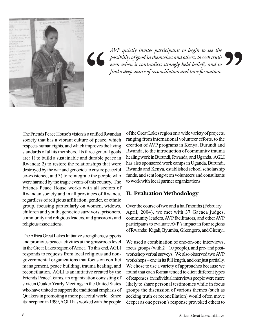

*AVP quietly invites participants to begin to see the possibility of good in themselves and others, to seek truth even when it contradicts strongly held beliefs, and to find a deep source of reconciliation and transformation.* AVP quietly invites participants to begin to see the<br>possibility of good in themselves and others, to seek truth<br>even when it contradicts strongly held beliefs, and to<br>find a deep source of reconciliation and transformatio

The Friends Peace House's vision is a unified Rwandan society that has a vibrant culture of peace, which respects human rights, and which improves the living standards of all its members. Its three general goals are: 1) to build a sustainable and durable peace in Rwanda; 2) to restore the relationships that were destroyed by the war and genocide to ensure peaceful co-existence; and 3) to reintegrate the people who were harmed by the tragic events of this country. The Friends Peace House works with all sectors of Rwandan society and in all provinces of Rwanda, regardless of religious affiliation, gender, or ethnic group, focusing particularly on women, widows, children and youth, genocide survivors, prisoners, community and religious leaders, and grassroots and religious associations.

The Africa Great Lakes Initiative strengthens, supports and promotes peace activities at the grassroots level in the Great Lakes region of Africa. To this end, AGLI responds to requests from local religious and nongovernmental organizations that focus on conflict management, peace building, trauma healing, and reconciliation. AGLI is an initiative created by the Friends Peace Teams, an organization consisting of sixteen Quaker Yearly Meetings in the United States who have united to support the traditional emphasis of Quakers in promoting a more peaceful world. Since its inception in 1999, AGLI has worked with the people

of the Great Lakes region on a wide variety of projects, ranging from international volunteer efforts, to the creation of AVP programs in Kenya, Burundi and Rwanda, to the introduction of community trauma healing work in Burundi, Rwanda, and Uganda. AGLI has also sponsored work camps in Uganda, Burundi, Rwanda and Kenya, established school scholarship funds, and sent long-term volunteers and consultants to work with local partner organizations.

#### **II. Evaluation Methodology**

Over the course of two and a half months (February – April, 2004), we met with 37 Gacaca judges, community leaders, AVP facilitators, and other AVP participants to evaluate AVP's impact in four regions of Rwanda: Kigali, Byumba, Gikongoro, and Gisenyi.

We used a combination of one-on-one interviews, focus groups (with  $2 - 10$  people), and pre- and postworkshop verbal surveys. We also observed two AVP workshops – one in its full length, and one just partially. We chose to use a variety of approaches because we found that each format tended to elicit different types of responses: in individual interviews people were more likely to share personal testimonies while in focus groups the discussion of various themes (such as seeking truth or reconciliation) would often move deeper as one person's response provoked others to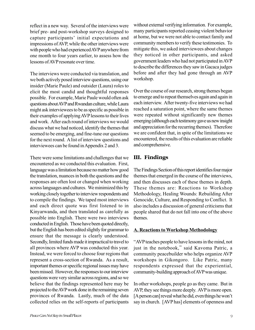reflect in a new way. Several of the interviews were brief pre- and post-workshop surveys designed to capture participants' initial expectations and impressions of AVP, while the other interviews were with people who had experienced AVP anywhere from one month to four years earlier, to assess how the lessons of AVP resonate over time.

The interviews were conducted via translation, and we both actively posed interview questions, using our insider (Marie Paule) and outsider (Laura) roles to elicit the most candid and thoughtful responses possible. For example, Marie Paule would often ask questions about AVP and Rwandan culture, while Laura might ask interviewees to be as specific as possible in their examples of applying AVP lessons to their lives and work. After each round of interviews we would discuss what we had noticed, identify the themes that seemed to be emerging, and fine-tune our questions for the next round. A list of interview questions and interviewees can be found in Appendix 2 and 3.

There were some limitations and challenges that we encountered as we conducted this evaluation. First, language was a limitation because no matter how good the translation, nuances in both the questions and the responses are often lost or changed when working across languages and cultures. We minimized this by working closely together to interview respondents and to compile the findings. We taped most interviews and each direct quote was first listened to in Kinyarwanda, and then translated as carefully as possible into English. There were two interviews conducted in English. Those have been quoted directly, but the English has been edited slightly for grammar to ensure that the message is clearly understood. Secondly, limited funds made it impractical to travel to all provinces where AVP was conducted this year. Instead, we were forced to choose four regions that represent a cross-section of Rwanda. As a result, important themes or specific regional issues may have been missed. However, the responses to our interview questions were very similar across regions, and so we believe that the findings represented here may be projected to the AVP work done in the remaining seven provinces of Rwanda. Lastly, much of the data collected relies on the self-reports of participants

without external verifying information. For example, many participants reported ceasing violent behavior at home, but we were not able to contact family and community members to verify these testimonies. To mitigate this, we asked interviewees about changes they noticed in other participants, and asked government leaders who had not participated in AVP to describe the differences they saw in Gacaca judges before and after they had gone through an AVP workshop.

Over the course of our research, strong themes began to emerge and to repeat themselves again and again in each interview. After twenty-five interviews we had reached a saturation point, where the same themes were repeated without significantly new themes emerging (although each testimony gave us new insight and appreciation for the recurring themes). Therefore we are confident that, in spite of the limitations we encountered, the results of this evaluation are reliable and comprehensive.

#### **III. Findings**

The Findings Section of this report identifies four major themes that emerged in the course of the interviews, and then discusses each of these themes in depth. These themes are: Reactions to Workshop Methodology, Healing Wounds: Rebuilding After Genocide, Culture, and Responding to Conflict. It also includes a discussion of general criticisms that people shared that do not fall into one of the above themes.

#### **A. Reactions to Workshop Methodology**

"AVP teaches people to have lessons in the mind, not just in the notebook," said Kavoma Patric, a community peacebuilder who helps organize AVP workshops in Gikongoro. Like Patric, many respondents expressed that the experiential, community-building approach of AVP was unique.

In other workshops, people go as they came. But in AVP, they see things more deeply. AVP is more open. [A person can] reveal what he did, even things he won't say in church. [AVP has] elements of openness and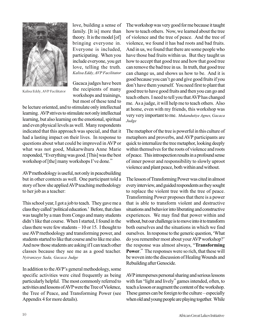

Kalisa Eddy, AVP Facilitator

love, building a sense of family. [It is] more than theory. It is the model [of] bringing everyone in. Everyone is included, participating. When you include everyone, you get love, telling the truth. *Kalisa Eddy, AVP Facilitator*

Gacaca judges have been the recipients of many workshops and trainings, but most of these tend to

be lecture oriented, and to stimulate only intellectual learning. AVP strives to stimulate not only intellectual learning, but also learning on the emotional, spiritual and even physical levels as well. Many respondents indicated that this approach was special, and that it had a lasting impact on their lives. In response to questions about what could be improved in AVP or what was not good, Mukarwihura Anne Marie responded, "Everything was good. [This] was the best workshop of [the] many workshops I've done."

AVP methodology is useful, not only in peacebuilding but in other contexts as well. One participant told a story of how she applied AVP teaching methodology to her job as a teacher:

This school year, I got a job to teach. They gave me a class they called 'political education.' Before, that class was taught by a man from Congo and many students didn't like that course. When I started, I found in the class there were few students – 10 or 15. I thought to use AVP methodology and transforming power, and students started to like that course and to like me also. And now those students are asking if I can teach other classes because they see me as a good teacher. *Nyiranzeye Sada, Gacaca Judge*

In addition to the AVP's general methodology, some specific activities were cited frequently as being particularly helpful. The most commonly referred to activities and lessons of AVP were the Tree of Violence, the Tree of Peace, and Transforming Power (see Appendix 4 for more details).

The workshop was very good for me because it taught how to teach others. Now, we learned about the tree of violence and the tree of peace. And the tree of violence, we found it has bad roots and bad fruits. And in us, we found that there are some people who have those bad fruits within us. But they taught us how to accept that good tree and how that good tree can remove the bad tree in us. In truth, that good tree can change us, and shows us how to be. And it is good because you can't go and give good fruits if you don't have them yourself. You need first to plant that good tree to have good fruits and then you can go and teach others. I need to tell you that AVP has changed me. As a judge, it will help me to teach others. Also at home, even with my friends, this workshop was very very important to me. *Mukandutiye Agnes, Gacaca Judge*

The metaphor of the tree is powerful in this culture of metaphors and proverbs, and AVP participants are quick to internalize the tree metaphor, looking deeply within themselves for the roots of violence and roots of peace. This introspection results in a profound sense of inner power and responsibility to slowly uproot violence and plant peace, both within and without.

The lesson of Transforming Power was cited in almost every interview, and guided respondents as they sought to replace the violent tree with the tree of peace. Transforming Power proposes that there is a power that is able to transform violent and destructive situations and behavior into liberating and constructive experiences. We may find that power within and without, but our challenge is to move into it to transform both ourselves and the situations in which we find ourselves. In response to the generic question, 'What do you remember most about your AVP workshop?' the response was almost always, "**Transforming Power**." The responses were so rich, that these will be woven into the discussion of Healing Wounds and Rebuilding after Genocide.

AVP intersperses personal sharing and serious lessons with fun "light and lively" games intended, often, to teach a lesson or augment the content of the workshop. These games can be foreign to the culture – especially when old and young people are playing together. While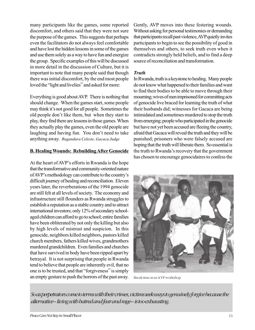many participants like the games, some reported discomfort, and others said that they were not sure the purpose of the games. This suggests that perhaps even the facilitators do not always feel comfortable and have lost the hidden lessons in some of the games and use them solely as a way to have fun and energize the group. Specific examples of this will be discussed in more detail in the discussion of Culture, but it is important to note that many people said that though there was initial discomfort, by the end most people loved the "light and livelies" and asked for more:

Everything is good about AVP. There is nothing that should change. When the games start, some people may think it's not good for all people. Sometimes the old people don't like them, but when they start to play, they find there are lessons in those games. When they actually play the games, even the old people are laughing and having fun. You don't need to take anything away. *Rugandura Celeste, Gacaca Judge*

#### **B. Healing Wounds: Rebuilding After Genocide**

At the heart of AVP's efforts in Rwanda is the hope that the transformative and community-oriented nature of AVP's methodology can contribute to the country's difficult journey of healing and reconciliation. Eleven years later, the reverberations of the 1994 genocide are still felt at all levels of society. The economy and infrastructure still flounders as Rwanda struggles to establish a reputation as a stable country and to attract international investors; only 12% of secondary schoolaged children can afford to go to school; entire families have been obliterated by not only the killing but also by high levels of mistrust and suspicion. In this genocide, neighbors killed neighbors, pastors killed church members, fathers killed wives, grandmothers murdered grandchildren. Even families and churches that have survived in body have been ripped apart by betrayal. It is not surprising that people in Rwanda tend to believe that people are inherently evil, that no one is to be trusted, and that "forgiveness" is simply an empty gesture to push the horrors of the past away. Gently, AVP moves into these festering wounds. Without asking for personal testimonies or demanding that participants recall past violence, AVP quietly invites participants to begin to see the possibility of good in themselves and others, to seek truth even when it contradicts strongly held beliefs, and to find a deep source of reconciliation and transformation.

#### *Truth*

In Rwanda, truth is a keystone to healing. Many people do not know what happened to their families and want to find their bodies to be able to move through their mourning; wives of men imprisoned for committing acts of genocide live braced for learning the truth of what their husbands did; witnesses for Gacaca are being intimidated and sometimes murdered to stop the truth from emerging; people who participated in the genocide but have not yet been accused are fleeing the country, afraid that Gacaca will reveal the truth and they will be punished; prisoners who were falsely accused are hoping that the truth will liberate them. So essential is the truth to Rwanda's recovery that the government has chosen to encourage genocidaires to confess the

Break time at an AVP workshop

*So as perpetrators come to terms with their crimes, victims seek ways to genuinely forgive because the alternative – living with hatred and fear and rage – is too exhausting.*

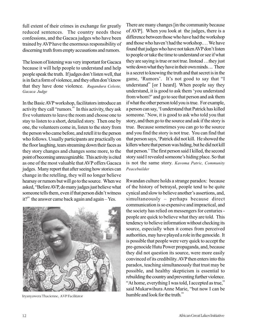full extent of their crimes in exchange for greatly reduced sentences. The country needs these confessions, and the Gacaca judges who have been trained by AVP have the enormous responsibility of discerning truth from empty accusations and rumors.

The lesson of listening was very important for Gacaca because it will help people to understand and help people speak the truth. If judges don't listen well, that is in fact a form of violence, and they often don't know that they have done violence. *Rugandura Celeste, Gacaca Judge*

In the Basic AVP workshop, facilitators introduce an activity they call "rumors." In this activity, they ask five volunteers to leave the room and choose one to stay to listen to a short, detailed story. Then one by one, the volunteers come in, listen to the story from the person who came before, and retell it to the person who follows. Usually participants are practically on the floor laughing, tears streaming down their faces as they story changes and changes some more, to the point of becoming unrecognizable. This activity is cited as one of the most valuable that AVP offers Gacaca judges. Many report that after seeing how stories can change in the retelling, they will no longer believe hearsay or rumors but will go to the source. When we asked, "Before AVP, do many judges just believe what someone tells them, even if that person didn't witness it?" the answer came back again and again – Yes.



Iryanyawera Thacienne, AVP Facilitator

There are many changes [in the community because of AVP]. When you look at the judges, there is a difference between those who have had the workshop and those who haven't had the workshop.… We have found that judges who have not taken AVP don't listen to people or take the time to understand or see if what they are saying is true or not true. Instead …they just write down what they have in their own minds. ... There is a secret to knowing the truth and that secret is in the game, 'Rumors'. It's not good to say that "I understand" [or I heard]. When people say they understand, it is good to ask them 'you understand from whom?' and go to see that person and ask them if what the other person told you is true. For example, a person can say, 'I understand that Patrick has killed someone.' Now, it is good to ask who told you that story, and then go to the source and ask if the story is true. Because sometimes you can go to the source and you find the story is not true. You can find that that person says, 'Patrick did not kill. He showed the killers where that person was hiding, but he did not kill that person.' The first person said I killed, the second story said I revealed someone's hiding place. So that is not the same story. *Kavoma Patric, Community Peacebuilder*

Rwandan culture holds a strange paradox: because of the history of betrayal, people tend to be quite cynical and slow to believe another's assertions, and, simultaneously – perhaps because direct communication is so expensive and impractical, and the society has relied on messengers for centuries people are quick to believe what they are told. This tendency to believe information without checking its source, especially when it comes from perceived authorities, may have played a role in the genocide. It is possible that people were very quick to accept the pre-genocide Hutu Power propaganda, and, because they did not question its source, were more easily convinced of its credibility. AVP then enters into this paradox, teaching simultaneously that trust may be possible, and healthy skepticism is essential to rebuilding the country and preventing further violence. "At home, everything I was told, I accepted as true," said Mukarwihura Anne Marie, "but now I can be humble and look for the truth."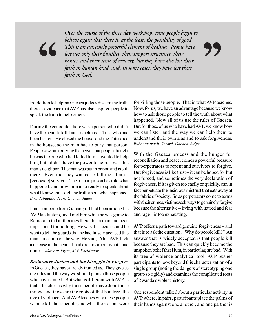believe again that there is, at the least, the possibility of good.<br>This is an extremely powerful element of healing. People have<br>lost not only their families, their support structures, their<br>homes, and their sense of secu *Over the course of the three day workshop, some people begin to believe again that there is, at the least, the possibility of good. This is an extremely powerful element of healing. People have lost not only their families, their support structures, their homes, and their sense of security, but they have also lost their faith in human kind, and, in some cases, they have lost their faith in God.*

In addition to helping Gacaca judges discern the truth, there is evidence that AVP has also inspired people to speak the truth to help others.

During the genocide, there was a person who didn't have the heart to kill, but he sheltered a Tutsi who had been beaten. He closed the house, and the Tutsi died in the house, so the man had to bury that person. People saw him burying the person but people thought he was the one who had killed him. I wanted to help him, but I didn't have the power to help. I was this man's neighbor. The man was put in prison and is still there. Even me, they wanted to kill me. I am a [genocide] survivor. The man in prison has told what happened, and now I am also ready to speak about what I know and to tell the truth about what happened. *Birindabagabo Jean, Gacaca Judge*

I met someone from Gahanga. I had been among his AVP facilitators, and I met him while he was going to Remera to tell authorities there that a man had been imprisoned for nothing. He was the accuser, and he went to tell the guards that he had falsely accused this man. I met him on the way. He said, 'After AVP, I felt a disease in the heart. I had dreams about what I had done.' *Akayesu Joyce*, *AVP Facilitator*

#### *Restorative Justice and the Struggle to Forgive*

In Gacaca, they have already trained us. They give us the rules and the way we should punish those people who have sinned. But what is different with AVP, is that it teaches us why those people have done those things, and those are the roots of that bad tree, the tree of violence. And AVP teaches why these people want to kill those people, and what the reasons were

for killing those people. That is what AVP teaches. Now, for us, we have an advantage because we know how to ask those people to tell the truth about what happened. Now all of us use the rules of Gacaca. But for those of us who have had AVP, we know how we can listen and the way we can help them to understand their own sins and to ask forgiveness. *Ruhanamirindi Gerard, Gacaca Judge*

With the Gacaca process and the hunger for reconciliation and peace, comes a powerful pressure for perpetrators to repent and survivors to forgive. But forgiveness is like trust – it can be hoped for but not forced, and sometimes the very declaration of forgiveness, if it is given too easily or quickly, can in fact perpetuate the insidious mistrust that eats away at the fabric of society. So as perpetrators come to terms with their crimes, victims seek ways to genuinely forgive because the alternative – living with hatred and fear and rage – is too exhausting.

AVP offers a path toward genuine forgiveness – and that is to ask the question, "Why do people kill?" An answer that is widely accepted is that people kill because they are bad. This can quickly become the unspoken belief that Hutu, in particular, are bad. With its tree-of-violence analytical tool, AVP pushes participants to look beyond this characterization of a single group (noting the dangers of stereotyping one group so rigidly) and examines the complicated roots of Rwanda's violent history.

One respondent talked about a particular activity in AVP where, in pairs, participants place the palms of their hands against one another, and one partner is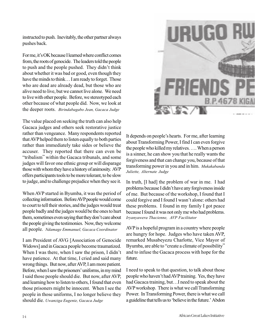instructed to push. Inevitably, the other partner always pushes back.

For me, it's OK because I learned where conflict comes from, the roots of genocide. The leaders told the people to push and the people pushed. They didn't think about whether it was bad or good, even though they have the minds to think... I am ready to forget. Those who are dead are already dead, but those who are alive need to live, but we cannot live alone. We need to live with other people. Before, we stereotyped each other because of what people did. Now, we look at the deeper roots. *Birindabagabo Jean, Gacaca Judge*

The value placed on seeking the truth can also help Gacaca judges and others seek restorative justice rather than vengeance. Many respondents reported that AVP helped them to listen equally to both parties rather than immediately take sides or believe the accuser. They reported that there can even be "tribalism" within the Gacaca tribunals, and some judges will favor one ethnic group or will disparage those with whom they have a history of animosity. AVP offers participants tools to be more tolerant, to be slow to judge, and to challenge prejudice when they see it.

When AVP started in Byumba, it was the period of collecting information. Before AVP people would come to court to tell their stories, and the judges would treat people badly and the judges would be the ones to hurt them, sometimes even saying that they don't care about the people giving the testimonies. Now, they welcome all people. *Ndamage Emmanuel, Gacaca Coordinator*

I am President of AVG [Association of Genocide Widows] and in Gacaca people become traumatized. When I was there, when I saw the prison, I didn't have patience. At that time, I cried and said many wrong things. But now, after AVP, I am more patient. Before, when I saw the prisoners' uniforms, in my mind I said those people should die. But now, after AVP, and learning how to listen to others, I found that even those prisoners might be innocent. When I see the people in those uniforms, I no longer believe they should die. *Uwanziga Eugenie, Gacaca Judge*



It depends on people's hearts. For me, after learning about Transforming Power, I find I can even forgive the people who killed my relatives. …. When a person is a sinner, he can show you that he really wants the forgiveness and that can change you, because of that transforming power in you and in him. *Mukakabanda Juliette, Alternate Judge*

In truth, [I had] the problem of war in me. I had problems because I didn't have any forgiveness inside of me. But because of the workshop, I found that I could forgive and I found I wasn't alone: others had these problems. I found in my family I got peace because I found it was not only me who had problems. *Iryanyawera Thacienne, AVP Facilitator*

AVP is a hopeful program in a country where people are hungry for hope. Judges who have taken AVP, remarked Musabeyezu Charlotte, Vice Mayor of Byumba, are able to "create a climate of possibility" and to infuse the Gacaca process with hope for the future.

I need to speak to that question, to talk about those people who haven't had AVP training. Yes, they have had Gacaca training, but…I need to speak about the AVP workshop. There is what we call Transforming Power. In Transforming Power, there is what we call a guideline that tells us to 'believe in the future.' Abdon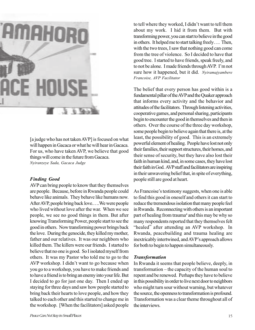

[a judge who has not taken AVP] is focused on what will happen in Gacaca or what he will hear in Gacaca. For us, who have taken AVP, we believe that good things will come in the future from Gacaca. *Nyiranzeye Sada, Gacaca Judge*

#### *Finding Good*

AVP can bring people to know that they themselves are people. Because, before in Rwanda people could behave like animals. They behave like humans now. After AVP, people bring back love.….We were people who lived without love after the war. When we see people, we see no good things in them. But after knowing Transforming Power, people start to see the good in others. Now transforming power brings back the love. During the genocide, they killed my mother, father and our relatives. It was our neighbors who killed them. The killers were our friends. I started to believe that no one is good. So I isolated myself from others. It was my Pastor who told me to go to the AVP workshop. I didn't want to go because when you go to a workshop, you have to make friends and to have a friend is to bring an enemy into your life. But I decided to go for just one day. Then I ended up staying for three days and saw how people started to bring back their hearts to love people, and how they talked to each other and this started to change me in the workshop. [When the facilitators] asked people to tell where they worked, I didn't want to tell them about my work. I hid it from them. But with transforming power, you can start to believe in the good in others. It helped me to start talking freely…. Then, with the two trees, I saw that nothing good can come from the tree of violence. So I decided to have that good tree. I started to have friends, speak freely, and to not be alone. I made friends through AVP. I'm not sure how it happened, but it did. *Nyiramajyambere Francoise, AVP Facilitator*

The belief that every person has good within is a fundamental pillar of the AVP and the Quaker approach that informs every activity and the behavior and attitudes of the facilitators. Through listening activities, cooperative games, and personal sharing, participants begin to encounter the good in themselves and then in others. Over the course of the three day workshop, some people begin to believe again that there is, at the least, the possibility of good. This is an extremely powerful element of healing. People have lost not only their families, their support structures, their homes, and their sense of security, but they have also lost their faith in human kind, and, in some cases, they have lost their faith in God. AVP staff and facilitators are inspiring in their unwavering belief that, in spite of everything, people still are good at heart.

As Francoise's testimony suggests, when one is able to find this good in oneself and others it can start to reduce the tremendous isolation that many people feel in Rwanda. Reconnecting with others is an important part of healing from trauma<sup>4</sup> and this may be why so many respondents reported that they themselves felt "healed" after attending an AVP workshop. In Rwanda, peacebuilding and trauma healing are inextricably intertwined, and AVP's approach allows for both to begin to happen simultaneously.

#### *Transformation*

In Rwanda it seems that people believe, deeply, in transformation – the capacity of the human soul to repent and be renewed. Perhaps they have to believe in this possibility in order to live next door to neighbors who might turn sour without warning, but whatever the source, the openness to transformation is profound. Transformation was a clear theme throughout all of the interviews.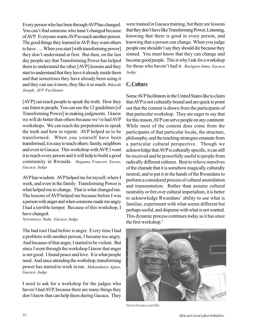Every person who has been through AVP has changed. You can't find someone who hasn't changed because of AVP. Everyone wants AVP to reach another person. The good things they learned in AVP, they want others to have …. When you start [with transforming power] they don't understand at first. But then, on the last day people say that Transforming Power has helped them to understand the other [AVP] lessons and they start to understand that they have it already inside them and that sometimes they have already been using it and they can use it more, they like it so much. *Bihoyiki Joseph, AVP Facilitator*

[AVP] can teach people to speak the truth. How they can listen to people. You can use the 12 guidelines [of Transforming Power] in making judgments. I know we will do better than others because we've had AVP workshops. We can teach the perpetrators to speak the truth and how to repent. AVP helped us to be transformed. When you yourself have been transformed, it is easy to teach others: family, neighbors and even in Gacaca. This workshop with AVP, I want it to reach every person and it will help to build a good community in Rwanda. *Haguma Francois Xavier, Gacaca Judge*

AVP has wisdom. AVP helped me for myself, where I work, and even in the family. Transforming Power is what helped me to change. That is what changed me. The lessons of AVP helped me because before I was a person with anger and when someone made me angry I had a terrible temper. Because of this workshop, I have changed.

*Nyiranzeye Sada, Gacaca Judge*

The bad root I had before is anger. Every time I had a problem with another person, I became too angry. And because of that anger, I started to be violent. But since I went through the workshop I know that anger is not good. I found peace and love. It is what people need. And since attending the workshop, transforming power has started to work in me. *Mukandutiye Agnes, Gacaca Judge*

I need to ask for a workshop for the judges who haven't had AVP, because there are many things they don't know that can help them during Gacaca. They

were trained in Gacaca training, but there are lessons that they don't have like Transforming Power, Listening, knowing that there is good in every person, and knowing that a person can change. When you judge people one shouldn't say they should die because they sinned. You must know that they can change and become good people. This is why I ask for a workshop for those who haven't had it. *Rusigura Juma, Gacaca Judge*

#### **C. Culture**

Some AVP facilitators in the United States like to claim that AVP is not culturally bound and are quick to point out that the content is drawn from the participants of that particular workshop. They are eager to say that for this reason, AVP can serve people on any continent. While most of the content does come from the participants of that particular locale, the structure, philosophy, and the teaching strategies emanate from a particular cultural perspective. Though we acknowledge that AVP is culturally specific, it can still be received and be powerfully useful to people from radically different cultures. Best to relieve ourselves of the charade that it is somehow magically culturally neutral, and to put it in the hands of the Rwandans to perform a considered process of cultural assimilation and transmutation. Rather than assume cultural neutrality or fret over cultural imperialism, it is better to acknowledge Rwandans' ability to use what is familiar, experiment with what seems different but perhaps useful, and dispense with what is not wanted. This dynamic process continues today as it has since the first workshop.<sup>5</sup>



Pierre Damien and Elie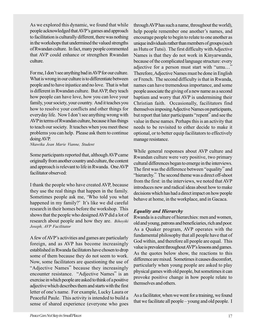As we explored this dynamic, we found that while people acknowledged that AVP's games and approach to facilitation is culturally different, there was nothing in the workshops that undermined the valued strengths of Rwandan culture. In fact, many people commented that AVP could enhance or strengthen Rwandan culture.

For me, I don't see anything bad in AVP for our culture. What is wrong in our culture is to differentiate between people and to have injustice and no love. That is what is different in Rwandan culture. But AVP, they teach how people can have love, how you can love your family, your society, your country. And it teaches you how to resolve your conflicts and other things for everyday life. Now I don't see anything wrong with AVP in terms of Rwandan culture, because it has things to teach our society. It teaches when you meet these problems you can help. Please ask them to continue doing AVP.

*Nkawika Jean Marie Vianne, Student*

Some participants reported that, although AVP came originally from another country and culture, the content and approach is relevant to life in Rwanda. One AVP facilitator observed:

I thank the people who have created AVP, because they use the real things that happen in the family. Sometimes people ask me, 'Who told you what happened in my family?' It's like we did careful research in their homes before the workshop. This shows that the people who designed AVP did a lot of research about people and how they are. *Bihoyiki Joseph, AVP Facilitator*

A few of AVP's activities and games are particularly foreign, and as AVP has become increasingly established in Rwanda facilitators have chosen to drop some of them because they do not seem to work. Now, some facilitators are questioning the use of "Adjective Names" because they increasingly encounter resistance. "Adjective Names" is an exercise in which people are asked to think of a positive adjective which describes them and starts with the first letter of one's name. For example, Lucky Laura or Peaceful Paule. This activity is intended to build a sense of shared experience (everyone who goes

through AVP has such a name, throughout the world), help people remember one another's names, and encourage people to begin to relate to one another as unique individuals rather than members of groups (such as Hutu or Tutsi). The first difficulty with Adjective Names is that they do not work in Kinyarwanda, because of the complicated language structure: every adjective for a person must start with "umu…" Therefore, Adjective Names must be done in English or French. The second difficulty is that in Rwanda, names can have tremendous importance, and some people associate the giving of a new name as a second baptism and worry that AVP is undermining their Christian faith. Occasionally, facilitators find themselves imposing Adjective Names on participants, but report that later participants "repent" and see the value in these names. Perhaps this is an activity that needs to be revisited to either decide to make it optional, or to better equip facilitators to effectively manage resistance.

While general responses about AVP culture and Rwandan culture were very positive, two primary cultural differences began to emerge in the interviews. The first was the difference between "equality" and "hierarchy." The second theme was a direct off-shoot from the first: in the interviews, we noted that AVP introduces new and radical ideas about how to make decisions which has had a direct impact on how people behave at home, in the workplace, and in Gacaca.

#### *Equality and Hierarchy*

Rwanda is a culture of hierarchies: men and women, old and young, patrons and beneficiaries, rich and poor. As a Quaker program, AVP operates with the fundamental philosophy that all people have that of God within, and therefore all people are equal. This value is prevalent throughout AVP's lessons and games. As the quotes below show, the reactions to this difference are mixed. Sometimes it causes discomfort, particularly when young people are asked to play physical games with old people, but sometimes it can provoke positive change in how people relate to themselves and others.

As a facilitator, when we went for a training, we found that we facilitate all people – young and old people. I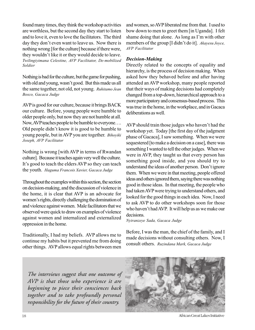found many times, they think the workshop activities are worthless, but the second day they start to listen and to love it, even to love the facilitators. The third day they don't even want to leave us. Now there is nothing wrong [for the culture] because if there were, they wouldn't like it or they would decide to leave. *Twilingiyimana Celestine, AVP Facilitator, De-mobilized Soldier*

Nothing is bad for the culture, but the game for pushing, with old and young, wasn't good. But this made us all the same together, not old, not young. *Ruhitamo Jean Bosco, Gacaca Judge*

AVP is good for our culture, because it brings BACK our culture. Before, young people were humble to older people only, but now they are not humble at all. Now, AVP teaches people to be humble to everyone…. Old people didn't know it is good to be humble to young people, but in AVP you are together. *Bihoyiki Joseph, AVP Facilitator*

Nothing is wrong [with AVP in terms of Rwandan culture]. Because it teaches again very well the culture. It's good to teach the elders AVP so they can teach the youth. *Haguma Francois Xavier, Gacaca Judge*

Throughout the examples within this section, the section on decision-making, and the discussion of violence in the home, it is clear that AVP is an advocate for women's rights, directly challenging the domination of and violence against women. Male facilitators that we observed were quick to draw on examples of violence against women and internalized and externalized oppression in the home.

Traditionally, I had my beliefs. AVP allows me to continue my habits but it prevented me from doing other things. AVP allows equal rights between men

and women, so AVP liberated me from that. I used to bow down to men to greet them [in Uganda]. I felt shame doing that alone. As long as I'm with other members of the group [I didn't do it]. *Akayesu Joyce, AVP Facilitator*

#### *Decision-Making*

Directly related to the concepts of equality and hierarchy, is the process of decision making. When asked how they behaved before and after having attended an AVP workshop, many people reported that their ways of making decisions had completely changed from a top-down, hierarchical approach to a more participatory and consensus-based process. This was true in the home, in the workplace, and in Gacaca deliberations as well.

AVP should train those judges who haven't had the workshop yet. Today [the first day of the judgment phase of Gacaca], I saw something. When we were sequestered [to make a decision on a case], there was something I wanted to tell the other judges. When we were in AVP, they taught us that every person has something good inside, and you should try to understand the ideas of another person. Don't ignore them. When we were in that meeting, people offered ideas and others ignored them, saying there was nothing good in those ideas. In that meeting, the people who had taken AVP were trying to understand others, and looked for the good things in each idea. Now, I need to ask AVP to do other workshops soon for those who haven't had AVP. It will help us as we make our decisions.

*Nyiranzeye Sada, Gacaca Judge*

Before, I was the man, the chief of the family, and I made decisions without consulting others. Now, I consult others. *Ruzindana Mark, Gacaca Judge*

*The interviews suggest that one outcome of AVP is that those who experience it are beginning to piece their consciences back together and to take profoundly personal responsibility for the future of their country.*



African Great Lakes Initiative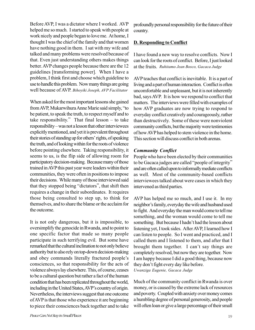Before AVP, I was a dictator where I worked. AVP helped me so much. I started to speak with people at work nicely and people began to love me. At home, I thought I was the chief of the family and that women have nothing good in them. I sat with my wife and talked and many problems were resolved because of that. Even just understanding others makes things better. AVP changes people because there are the 12 guidelines [transforming power]. When I have a problem, I think first and choose which guideline to use to handle this problem. Now many things are going well because of AVP. *Bihoyiki Joseph, AVP Facilitator*

When asked for the most important lessons she gained from AVP, Mukarwihura Anne Marie said simply, "to be patient, to speak the truth, to respect myself and to take responsibility." That final lesson – to take responsibility – was not a lesson that other interviewees explicitly mentioned, and yet it is prevalent throughout their stories of standing up for others' rights, of speaking the truth, and of looking within for the roots of violence before pointing elsewhere. Taking responsibility, it seems to us, is the flip side of allowing room for participatory decision-making. Because many of those trained in AVP this past year were leaders within their communities, they were often in positions to impose their decisions. While many of those interviewed said that they stopped being "dictators", that shift then requires a change in their subordinates. It requires those being consulted to step up, to think for themselves, and to share the blame or the acclaim for the outcome.

It is not only dangerous, but it is impossible, to oversimplify the genocide in Rwanda, and to point to one specific factor that made so many people participate in such terrifying evil. But some have remarked that the cultural inclination to not only believe authority but to also rely on top-down decision-making and obey commands literally fractured people's consciences, so that responsibility for the acts of violence always lay elsewhere. This, of course, ceases to be a cultural question but rather a fact of the human condition that has been replicated throughout the world, including in the United States, AVP's country of origin. Nevertheless, the interviews suggest that one outcome of AVP is that those who experience it are beginning to piece their consciences back together and to take

profoundly personal responsibility for the future of their country.

#### **D. Responding to Conflict**

I have found a new way to resolve conflicts. Now I can look for the roots of conflict. Before, I just looked at the fruits. *Ruhitamo Jean Bosco, Gacaca Judge*

AVP teaches that conflict is inevitable. It is a part of living and a part of human interaction. Conflict is often uncomfortable and unpleasant, but it is not inherently bad, says AVP. It is how we respond to conflict that matters. The interviews were filled with examples of how AVP graduates are now trying to respond to everyday conflict creatively and courageously, rather than destructively. Some of these were nonviolent community conflicts, but the majority were testimonies of how AVP has helped to stem violence in the home. This section will discuss conflict in both arenas.

#### *Community Conflict*

People who have been elected by their communities to be Gacaca judges are called "people of integrity" and are often called upon to informally mediate conflicts as well. Most of the community-based conflicts interviewees talked about were cases in which they intervened as third parties.

AVP has helped me so much, and I use it. In my neighbor's family, everyday the wife and husband used to fight. And everyday the man would come to tell me something, and the woman would come to tell me something. But because I hadn't had the lesson about listening yet, I took sides. After AVP, I learned how I can listen to people. So I went and practiced, and I called them and I listened to them, and after that I brought them together. I can't say things are completely resolved, but now they are together. Now I am happy because I did a good thing, because now they don't fight every day like before. *Uwanziga Eugenie, Gacaca Judge*

Much of the community conflict in Rwanda is over money, or is caused by the extreme lack of resources and poverty. Coupled with anxiety over money comes a humbling degree of personal generosity, and people will often loan or give a large percentage of their small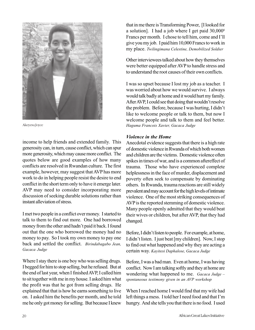

Akeyesu Joyce

income to help friends and extended family. This generosity can, in turn, cause conflict, which can spur more generosity, which may cause more conflict. The quotes below are good examples of how many conflicts are resolved in Rwandan culture. The first example, however, may suggest that AVP has more work to do in helping people resist the desire to end conflict in the short term only to have it emerge later. AVP may need to consider incorporating more discussion of seeking durable solutions rather than instant alleviation of stress.

I met two people in a conflict over money. I started to talk to them to find out more. One had borrowed money from the other and hadn't paid it back. I found out that the one who borrowed the money had no money to pay. So I took my own money to pay one back and settled the conflict. *Birindabagabo Jean, Gacaca Judge*

Where I stay there is one boy who was selling drugs. I begged for him to stop selling, but he refused. But at the end of last year, when I finished AVP, I called him to sit together with me in my house. I asked him what the profit was that he got from selling drugs. He explained that that is how he earns something to live on. I asked him the benefits per month, and he told me he only got money for selling. But because I knew

that in me there is Transforming Power, [I looked for a solution]. I had a job where I get paid 30,0006 Francs per month. I chose to tell him, come and I'll give you my job. I paid him 10,000 Francs to work in my place. *Twilingimana Celestine, Demobilized Soldier*

Other interviewees talked about how they themselves were better equipped after AVP to handle stress and to understand the root causes of their own conflicts.

I was so upset because I lost my job as a teacher. I was worried about how we would survive. I always would talk badly at home and it would hurt my family. After AVP, I could see that doing that wouldn't resolve the problem. Before, because I was hurting, I didn't like to welcome people or talk to them, but now I welcome people and talk to them and feel better. *Haguma Francois Xavier, Gacaca Judge*

#### *Violence in the Home*

Anecdotal evidence suggests that there is a high rate of domestic violence in Rwanda of which both women and children are the victims. Domestic violence often spikes in times of war, and is a common aftereffect of trauma. Those who have experienced complete helplessness in the face of murder, displacement and poverty often seek to compensate by dominating others. In Rwanda, trauma reactions are still widely prevalent and may account for the high levels of intimate violence. One of the most striking consequences of AVP is the reported stemming of domestic violence. Many people openly admitted that they would beat their wives or children, but after AVP, that they had changed.

Before, I didn't listen to people. For example, at home, I didn't listen. I just beat [my children]. Now, I stop to find out what happened and why they are acting a certain way. *Kayitesi Daphalose, Gacaca Judge*

Before, I was a bad man. Even at home, I was having conflict. Now I am talking softly and they at home are wondering what happened to me. *Gacaca Judge – spontaneous testimony given in an AVP workshop*

When I reached home I would find that my wife had left things a mess. I told her I need food and that I'm hungry. And she tells you that there is no food. I used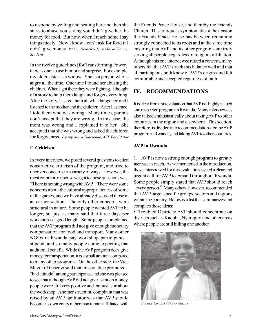to respond by yelling and beating her, and then she starts to abuse you saying you didn't give her the money for food. But now, when I reach home I say things nicely. Now I know I can't ask for food if I didn't give money for it. *Nkawika Jean Marie Vianne, Student*

In the twelve guidelines [for Transforming Power], there is one: to use humor and surprise. For example, my elder sister is a widow. She is a person who is angry all the time. One time I found her abusing the children. When I got there they were fighting. I thought of a story to help them laugh and forget everything. After the story, I asked them all what happened and I listened to the mother and the children. After I listened, I told them who was wrong. Many times, parents don't accept that they are wrong. In this case, the mom was wrong and I explained it to her. She accepted that she was wrong and asked the children for forgiveness. *Iryanyawera Thacienne, AVP Facilitator*

#### **E. Criticism**

In every interview, we posed several questions to elicit constructive criticism of the program, and tried to uncover concerns in a variety of ways. However, the most common response we got to those questions was: "There is nothing wrong with AVP." There were some concerns about the cultural appropriateness of some of the games, and we have already discussed those in an earlier section. The only other concerns were structural in nature. Some people wanted AVP to be longer, but just as many said that three days per workshop is a good length. Some people complained that the AVP program did not give enough monetary compensation for food and transport. Many other NGOs in Rwanda pay workshop participants a stipend, and so many people come expecting that additional benefit. While the AVP program does give money for transportation, it is a small amount compared to many other programs. On the other side, the Vice Mayor of Gisenyi said that this practice promoted a "bad attitude" among participants, and she was pleased to see that although AVP did not give as much money, people were still very positive and enthusiastic about the workshop. Another structural complaint that was raised by an AVP facilitator was that AVP should become its own entity rather than remain affiliated with

the Friends Peace House, and thereby the Friends Church. This critique is symptomatic of the tension the Friends Peace House has between remaining strongly connected to its roots and at the same time ensuring that AVP and its other programs are truly serving all people, regardless of religious affiliation. Although this one interviewee raised a concern, many others felt that AVP struck this balance well and that all participants both knew of AVP's origins and felt comfortable and accepted regardless of faith.

#### **IV. RECOMMENDATIONS**

It is clear from this evaluation that AVP is a highly valued and respected program in Rwanda. Many interviewees also talked enthusiastically about taking AVP to other countries in the region and elsewhere. This section, therefore, is divided into recommendations for the AVP program in Rwanda, and taking AVP to other countries.

#### **AVP in Rwanda**

1. AVP is now a strong enough program to greatly increase its reach. As we mentioned in the introduction, those interviewed for this evaluation issued a clear and urgent call for AVP to expand throughout Rwanda. Some people simply stated that AVP should reach "every person." Many others, however, recommended that AVP target specific groups, sectors and regions within the country. Below is a list that summarizes and compiles those ideas:

• Troubled Districts: AVP should concentrate on districts such as Kaduha, Nyaruguru and other areas where people are still killing one another.



Bucura David, AVP Coordinator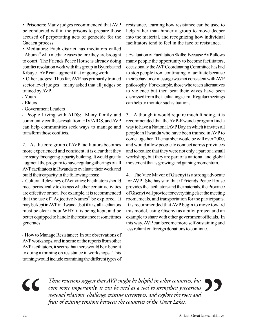• Prisoners: Many judges recommended that AVP be conducted within the prisons to prepare those accused of perpetrating acts of genocide for the Gacaca process

• Mediators: Each district has mediators called "Abunzi" who mediate cases before they are brought to court. The Friends Peace House is already doing conflict resolution work with this group in Byumba and Kibuye. AVP can augment that ongoing work.

• Other Judges: Thus far, AVP has primarily trained sector level judges – many asked that all judges be trained by AVP.

〈 Youth

〈 Elders

〈 Government Leaders

〈 People Living with AIDS: Many family and community conflicts result from HIV/AIDS, and AVP can help communities seek ways to manage and transform those conflicts.

2. As the core group of AVP facilitators becomes more experienced and confident, it is clear that they are ready for ongoing capacity building. It would greatly augment the program to have regular gatherings of all AVP facilitators in Rwanda to evaluate their work and build their capacity in the following areas:

〈 Cultural Relevancy of Activities: Facilitators should meet periodically to discuss whether certain activities are effective or not. For example, it is recommended that the use of "Adjective Names" be explored. It may be kept in AVP in Rwanda, but if it is, all facilitators must be clear about WHY it is being kept, and be better equipped to handle the resistance it sometimes generates.

〈 How to Manage Resistance: In our observations of AVP workshops, and in some of the reports from other AVP facilitators, it seems that there would be a benefit to doing a training on resistance in workshops. This training would include examining the different types of resistance, learning how resistance can be used to help rather than hinder a group to move deeper into the material, and recognizing how individual facilitators tend to feel in the face of resistance.

〈 Evaluation of Facilitation Skills: Because AVP allows many people the opportunity to become facilitators, occasionally the AVP Coordinating Committee has had to stop people from continuing to facilitate because their behavior or message was not consistent with AVP philosophy. For example, those who teach alternatives to violence but then beat their wives have been dismissed from the facilitating team. Regular meetings can help to monitor such situations.

3. Although it would require much funding, it is recommended that the AVP-Rwanda program find a way to have a National AVP Day, in which it invites all people in Rwanda who have been trained in AVP to come together. The number would be will over 2000, and would allow people to connect across provinces and to realize that they were not only a part of a small workshop, but they are part of a national and global movement that is growing and gaining momentum.

4. The Vice Mayor of Gisenyi is a strong advocate for AVP. She has said that if Friends Peace House provides the facilitators and the materials, the Province of Gisenyi will provide for everything else: the meeting room, meals, and transportation for the participants. It is recommended that AVP begin to move toward this model, using Gisenyi as a pilot project and an example to share with other government officials. In this way, AVP can become more self-sustaining and less reliant on foreign donations to continue.

## **"**

*These reactions suggest that AVP might be helpful in other countries, but even more importantly, it can be used as a tool to strengthen precarious regional relations, challenge existing stereotypes, and explore the roots and fruit of existing tensions between the countries of the Great Lakes.*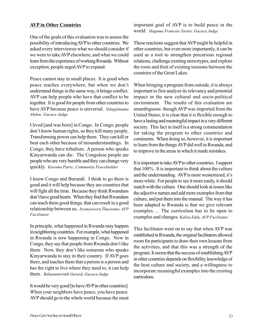#### **AVP in Other Countries**

One of the goals of this evaluation was to assess the possibility of introducing AVP to other countries. We asked every interviewee what we should consider if we were to take AVP elsewhere, and what we could learn from the experience of working Rwanda. Without exception, people urged AVP to expand:

Peace cannot stay in small places. It is good when peace reaches everywhere, but when we don't understand things in the same way, it brings conflict. AVP can help people who have that conflict to be together. It is good for people from other countries to have AVP because peace is universal. *Ndagijimama Abdon, Gacaca Judge*

I lived [and was born] in Congo. In Congo, people don't know human rights, so they kill many people. Transforming power can help them. They can kill or beat each other because of misunderstandings. In Congo, they have tribalism. A person who speaks Kinyarwanda can die. The Congolese people are people who are very humble and they can change very quickly. *Kavoma Patric, Community Peacebuilder*

I know Congo and Burundi. I think to go there is good and it will help because they are countries that will fight all the time. Because they think Rwandans don't have good hearts. When they find that Rwandans can teach them good things, that can result in a good relationship between us. *Iryanyawera Thacienne, AVP Facilitator*

In principle, what happened in Rwanda may happen in neighboring countries. For example, what happened in Rwanda is now happening in Congo. Now in Congo, they say that people from Rwanda don't like them. Now, they don't like someone who speaks Kinyarwanda to stay in their country. If AVP goes there, and teaches them that a person is a person and has the right to live where they need to, it can help them. *Ruhanamirindi Gerard, Gacaca Judge*

It would be very good [to have AVP in other countries]. When your neighbors have peace, you have peace. AVP should go to the whole world because the most important goal of AVP is to build peace in the world. *Haguma Francois Xavier, Gacaca Judge*

These reactions suggest that AVP might be helpful in other countries, but even more importantly, it can be used as a tool to strengthen precarious regional relations, challenge existing stereotypes, and explore the roots and fruit of existing tensions between the countries of the Great Lakes.

When bringing a program from outside, it is always important to first analyze its relevancy and potential impact in the new cultural and socio-political environment. The results of this evaluation are unambiguous: though AVP was imported from the United States, it is clear that it is flexible enough to have a lasting and meaningful impact in a very different society. This fact in itself is a strong commendation for taking the program to other countries and continents. When doing so, however, it is important to learn from the things AVP did well in Rwanda, and to improve in the areas in which it made mistakes.

It is important to take AVP to other countries. I support that 100%. It is important to think about the culture and the understanding. AVP is more westernized, it's more white. For people to see it more easily, it should match with the culture. One should look at issues like the adjective names and add more examples from that culture, and put them into the manual. The way it has been adapted to Rwanda is that we give relevant examples…. The curriculum has to be open to examples and changes. *Kalisa Eddy, AVP Facilitator*

This facilitator went on to say that when AVP was established in Rwanda, the original facilitators allowed room for participants to draw their own lessons from the activities, and that this was a strength of the program. It seems that the success of establishing AVP in other countries depends on flexibility, knowledge of the host culture and society, and a willingness to incorporate meaningful examples into the existing curriculum.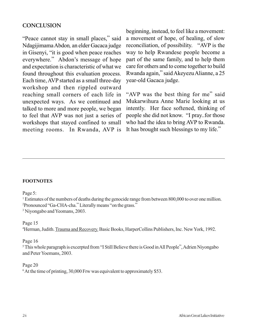#### **CONCLUSION**

"Peace cannot stay in small places," said Ndagijimama Abdon*,* an elder Gacaca judge in Gisenyi, "it is good when peace reaches everywhere." Abdon's message of hope and expectation is characteristic of what we found throughout this evaluation process. Each time, AVP started as a small three-day workshop and then rippled outward reaching small corners of each life in unexpected ways. As we continued and talked to more and more people, we began to feel that AVP was not just a series of workshops that stayed confined to small meeting rooms. In Rwanda, AVP is

beginning, instead, to feel like a movement: a movement of hope, of healing, of slow reconciliation, of possibility. "AVP is the way to help Rwandese people become a part of the same family, and to help them care for others and to come together to build Rwanda again," said Akeyezu Alianne, a 25 year-old Gacaca judge.

"AVP was the best thing for me" said Mukarwihura Anne Marie looking at us intently. Her face softened, thinking of people she did not know. "I pray..for those who had the idea to bring AVP to Rwanda. It has brought such blessings to my life."

#### **FOOTNOTES**

Page 5:

<sup>1</sup> Estimates of the numbers of deaths during the genocide range from between 800,000 to over one million. 2 Pronounced "Ga-CHA-cha." Literally means "on the grass."

<sup>3</sup> Niyongabo and Yeomans, 2003.

#### Page 15

<sup>4</sup>Herman, Judith. Trauma and Recovery. Basic Books, HarperCollins Publishers, Inc. New York, 1992.

#### Page 16

<sup>5</sup>This whole paragraph is excerpted from "I Still Believe there is Good in All People", Adrien Niyongabo and Peter Yoemans, 2003.

#### Page 20

<sup>6</sup> At the time of printing, 30,000 Frw was equivalent to approximately \$53.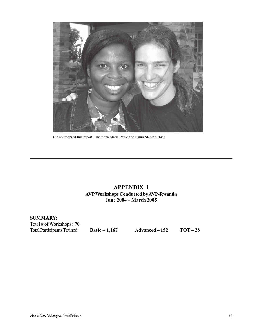

The aouthors of this report: Uwimana Marie Paule and Laura Shipler Chico

#### **APPENDIX 1 AVP Workshops Conducted by AVP-Rwanda June 2004 – March 2005**

**SUMMARY:** Total # of Workshops: **70**<br>Total Participants Trained:

**Basic** – **1,167** Advanced – 152 TOT – 28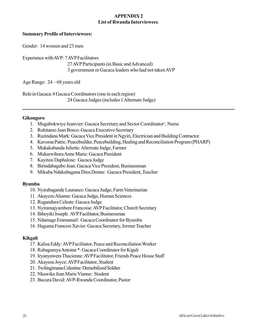#### **APPENDIX 2 List of Rwanda Interviewees**.

#### **Summary Profile of Interviewees:**

Gender: 14 women and 23 men

Experience with AVP: 7 AVP Facilitators 27 AVP Participants (in Basic and Advanced) 3 government or Gacaca leaders who had not taken AVP

Age Range: 24 – 68 years old

Role in Gacaca:4 Gacaca Coordinators (one in each region) 24 Gacaca Judges (includes 1 Alternate Judge)

#### **Gikongoro**

- 1. Mugabokwiye Jeanvier: Gacaca Secretary and Sector Coordinator<sup>1</sup>, Nurse
- 2. Ruhitamo Jean Bosco: Gacaca Executive Secretary
- 3. Ruzindana Mark: Gacaca Vice President in Ngyiri, Electrician and Building Contractor.
- 4. Kavoma Patric: Peacebuilder, Peacebuilding, Healing and Reconciliation Program (PHARP)
- 5. Mukakabanda Juliette: Alternate Judge, Farmer
- 6. Mukarwihura Anne Marie: Gacaca President
- 7. Kayitesi Daphalose: Gacaca Judge
- 8. Birindabagabo Jean: Gacaca Vice President, Businessman
- 9. Mikuba Ndakubagana Dieu Donne: Gacaca President, Teacher

#### **Byumba**

- 10. Nyirabagande Laurance: Gacaca Judge, Farm Veterinarian
- 11. Akayezu Alianne: Gacaca Judge, Human Sciences
- 12. Rugandura Celeste: Gacaca Judge
- 13. Nyiramajyambere Francoise: AVP Facilitator, Church Secretary
- 14. Bihoyiki Joseph: AVP Facilitator, Businessman
- 15. Ndamage Emmanuel: Gacaca Coordinator for Byumba
- 16. Haguma Francois Xavier: Gacaca Secretary, former Teacher

#### **Kikgali**

- 17. Kalisa Eddy: AVP Facilitator, Peace and Reconciliation Worker
- 18. Rubagumya Antoine \*: Gacaca Coordinator for Kigali
- 19. Iryanyawera Thacienne: AVP Facilitator, Friends Peace House Staff
- 20. Akayesu Joyce: AVP Facilitator, Student
- 21. Twilingimana Celestine: Demobilized Soldier
- 22. Nkawika Jean Marie Vianne: Student
- 23. Bucura David: AVP-Rwanda Coordinator, Pastor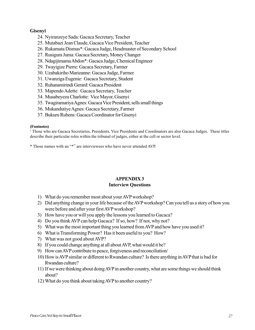#### **Gisenyi**

- 24. Nyiranzeye Sada: Gacaca Secretary, Teacher
- 25. Mutabazi Jean Claude, Gacaca Vice President, Teacher
- 26. Rukamata Dismas\*: Gacaca Judge, Headmaster of Secondary School
- 27. Rusigura Juma: Gacaca Secretary, Money Changer
- 28. Ndagijimama Abdon\*: Gacaca Judge, Chemical Engineer
- 29. Twayigize Pierre: Gacaca Secretary, Farmer
- 30. Uzabakiriho Marieanne: Gacaca Judge, Farmer
- 31. Uwanziga Eugenie: Gacaca Secretary, Student
- 32. Ruhanamirindi Gerard: Gacaca President
- 33. Mapendo Adette: Gacaca Secretary, Teacher
- 34. Musabeyezu Charlotte: Vice Mayor, Gisenyi
- 35. Twagiramariya Agnes: Gacaca Vice President, sells small things
- 36. Mukandutiye Agnes: Gacaca Secretary, Farmer
- 37. Bukuru Rubens: Gacaca Coordinator for Gisenyi

#### **(Footnotes)**

<sup>1</sup> Those who are Gacaca Secretaries, Presidents, Vice Presidents and Coordinators are also Gacaca Judges. These titles describe their particular roles within the tribunal of judges, either at the cell or sector level.

\* Those names with an "\*" are interviewees who have never attended AVP.

#### **APPENDIX 3 Interview Questions**

- 1) What do you remember most about your AVP workshop?
- 2) Did anything change in your life because of the AVP workshop? Can you tell us a story of how you were before and after your first AVP workshop?
- 3) How have you or will you apply the lessons you learned to Gacaca?
- 4) Do you think AVP can help Gacaca? If so, how? If not, why not?
- 5) What was the most important thing you learned from AVP and how have you used it?
- 6) What is Transforming Power? Has it been useful to you? How?
- 7) What was not good about AVP?
- 8) If you could change anything at all about AVP, what would it be?
- 9) How can AVP contribute to peace, forgiveness and reconciliation/
- 10) How is AVP similar or different to Rwandan culture? Is there anything in AVP that is bad for Rwandan culture?
- 11) If we were thinking about doing AVP in another country, what are some things we should think about?
- 12) What do you think about taking AVP to another country?